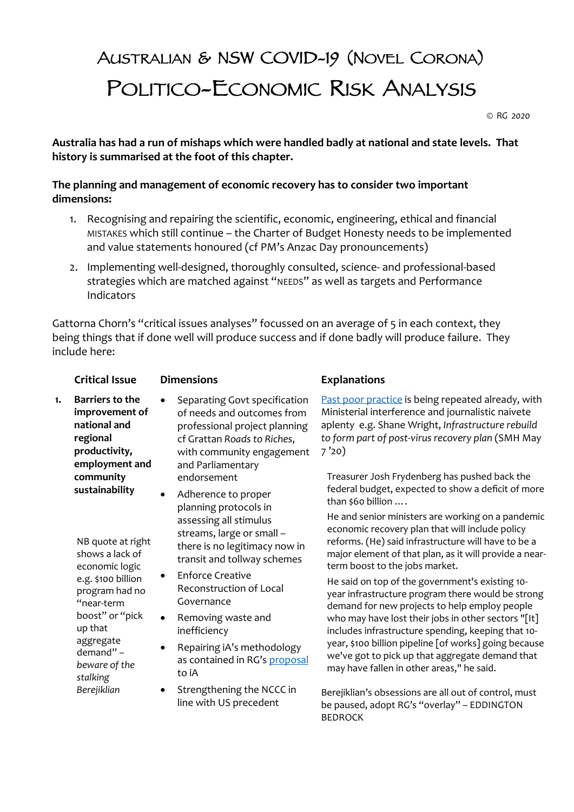## AUSTRALIAN & NSW COVID-19 (NOVEL CORONA) POLITICO-ECONOMIC RISK ANALYSIS

*© RG 2020*

**Australia has had a run of mishaps which were handled badly at national and state levels. That history is summarised at the foot of this chapter.**

## **The planning and management of economic recovery has to consider two important dimensions:**

- 1. Recognising and repairing the scientific, economic, engineering, ethical and financial MISTAKES which still continue – the Charter of Budget Honesty needs to be implemented and value statements honoured (cf PM's Anzac Day pronouncements)
- 2. Implementing well-designed, thoroughly consulted, science- and professional-based strategies which are matched against "NEEDS" as well as targets and Performance Indicators

Gattorna Chorn's "critical issues analyses" focussed on an average of 5 in each context, they being things that if done well will produce success and if done badly will produce failure. They include here:

|    | <b>Critical Issue</b>                                                                                                                                                                             | <b>Dimensions</b>                                                                                                                                                                                                                                                                                                       | <b>Explanations</b>                                                                                                                                                                                                                                                                                                                                                                                                                                                                                                                                                                                                                                                                    |
|----|---------------------------------------------------------------------------------------------------------------------------------------------------------------------------------------------------|-------------------------------------------------------------------------------------------------------------------------------------------------------------------------------------------------------------------------------------------------------------------------------------------------------------------------|----------------------------------------------------------------------------------------------------------------------------------------------------------------------------------------------------------------------------------------------------------------------------------------------------------------------------------------------------------------------------------------------------------------------------------------------------------------------------------------------------------------------------------------------------------------------------------------------------------------------------------------------------------------------------------------|
| 1. | Barriers to the<br>improvement of<br>national and<br>regional<br>productivity,<br>employment and                                                                                                  | Separating Govt specification<br>of needs and outcomes from<br>professional project planning<br>cf Grattan Roads to Riches,<br>with community engagement<br>and Parliamentary                                                                                                                                           | Past poor practice is being repeated already, with<br>Ministerial interference and journalistic naivete<br>aplenty e.g. Shane Wright, Infrastructure rebuild<br>to form part of post-virus recovery plan (SMH May<br>7'20)                                                                                                                                                                                                                                                                                                                                                                                                                                                             |
|    | community<br>sustainability                                                                                                                                                                       | endorsement<br>Adherence to proper<br>$\bullet$<br>planning protocols in                                                                                                                                                                                                                                                | Treasurer Josh Frydenberg has pushed back the<br>federal budget, expected to show a deficit of more<br>than \$60 billion                                                                                                                                                                                                                                                                                                                                                                                                                                                                                                                                                               |
|    | NB quote at right<br>shows a lack of<br>economic logic<br>e.g. \$100 billion<br>program had no<br>"near-term<br>boost" or "pick<br>up that<br>aggregate<br>demand" -<br>beware of the<br>stalking | assessing all stimulus<br>streams, large or small -<br>there is no legitimacy now in<br>transit and tollway schemes<br><b>Enforce Creative</b><br>Reconstruction of Local<br>Governance<br>Removing waste and<br>$\bullet$<br>inefficiency<br>Repairing iA's methodology<br>٠<br>as contained in RG's proposal<br>to iA | He and senior ministers are working on a pandemic<br>economic recovery plan that will include policy<br>reforms. (He) said infrastructure will have to be a<br>major element of that plan, as it will provide a near-<br>term boost to the jobs market.<br>He said on top of the government's existing 10-<br>year infrastructure program there would be strong<br>demand for new projects to help employ people<br>who may have lost their jobs in other sectors "[It]<br>includes infrastructure spending, keeping that 10-<br>year, \$100 billion pipeline [of works] going because<br>we've got to pick up that aggregate demand that<br>may have fallen in other areas," he said. |
|    | Berejiklian                                                                                                                                                                                       | Strengthening the NCCC in<br>$\bullet$<br>line with US precedent                                                                                                                                                                                                                                                        | Berejiklian's obsessions are all out of control, must<br>be paused, adopt RG's "overlay" - EDDINGTON<br><b>BEDROCK</b>                                                                                                                                                                                                                                                                                                                                                                                                                                                                                                                                                                 |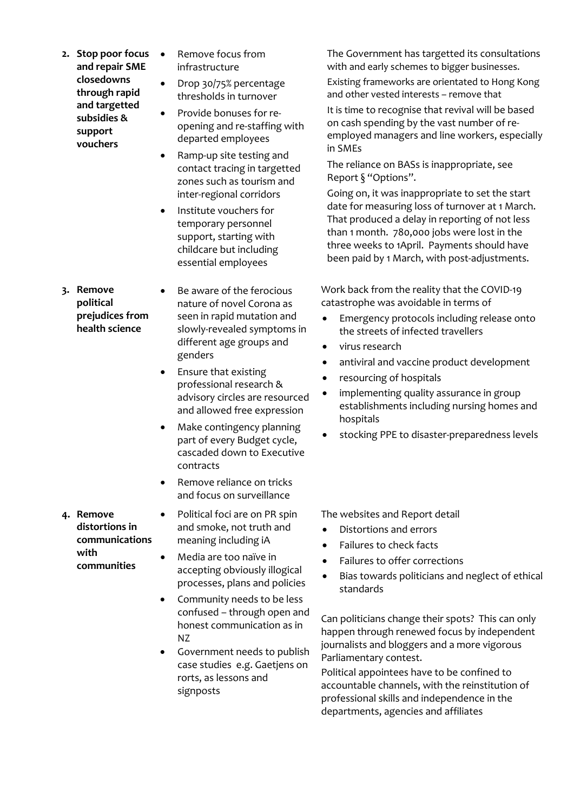**2. Stop poor focus and repair SME closedowns through rapid and targetted subsidies & support vouchers**

**3. Remove political prejudices from health science**

- Remove focus from infrastructure
- Drop 30/75% percentage thresholds in turnover
- Provide bonuses for reopening and re-staffing with departed employees
- Ramp-up site testing and contact tracing in targetted zones such as tourism and inter-regional corridors
- Institute vouchers for temporary personnel support, starting with childcare but including essential employees
- Be aware of the ferocious nature of novel Corona as seen in rapid mutation and slowly-revealed symptoms in different age groups and genders
- Ensure that existing professional research & advisory circles are resourced and allowed free expression
- Make contingency planning part of every Budget cycle, cascaded down to Executive contracts
- Remove reliance on tricks and focus on surveillance
- Political foci are on PR spin and smoke, not truth and meaning including iA
- Media are too naïve in accepting obviously illogical processes, plans and policies
- Community needs to be less confused – through open and honest communication as in NZ
- Government needs to publish case studies e.g. Gaetjens on rorts, as lessons and signposts

The Government has targetted its consultations with and early schemes to bigger businesses.

Existing frameworks are orientated to Hong Kong and other vested interests – remove that

It is time to recognise that revival will be based on cash spending by the vast number of reemployed managers and line workers, especially in SMEs

The reliance on BASs is inappropriate, see Report § "Options".

Going on, it was inappropriate to set the start date for measuring loss of turnover at 1 March. That produced a delay in reporting of not less than 1 month. 780,000 jobs were lost in the three weeks to 1April. Payments should have been paid by 1 March, with post-adjustments.

Work back from the reality that the COVID-19 catastrophe was avoidable in terms of

- Emergency protocols including release onto the streets of infected travellers
- virus research
- antiviral and vaccine product development
- resourcing of hospitals
- implementing quality assurance in group establishments including nursing homes and hospitals
- stocking PPE to disaster-preparedness levels

The websites and Report detail

- Distortions and errors
- Failures to check facts
- Failures to offer corrections
- Bias towards politicians and neglect of ethical standards

Can politicians change their spots? This can only happen through renewed focus by independent journalists and bloggers and a more vigorous Parliamentary contest.

Political appointees have to be confined to accountable channels, with the reinstitution of professional skills and independence in the departments, agencies and affiliates

**4. Remove distortions in communications with communities**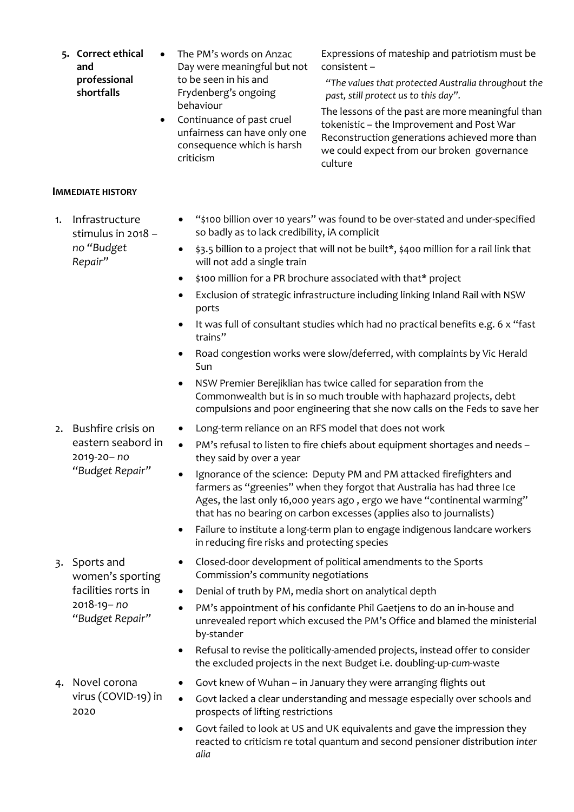- **5. Correct ethical and professional shortfalls**
- The PM's words on Anzac Day were meaningful but not to be seen in his and Frydenberg's ongoing behaviour
- Continuance of past cruel unfairness can have only one consequence which is harsh criticism

Expressions of mateship and patriotism must be consistent –

*"The values that protected Australia throughout the past, still protect us to this day".*

The lessons of the past are more meaningful than tokenistic – the Improvement and Post War Reconstruction generations achieved more than we could expect from our broken governance culture

## **IMMEDIATE HISTORY**

- 1. Infrastructure stimulus in 2018 *– no "Budget Repair"*
- "\$100 billion over 10 years" was found to be over-stated and under-specified so badly as to lack credibility, iA complicit
- \$3.5 billion to a project that will not be built\*, \$400 million for a rail link that will not add a single train
- \$100 million for a PR brochure associated with that\* project
- Exclusion of strategic infrastructure including linking Inland Rail with NSW ports
- It was full of consultant studies which had no practical benefits e.g. 6 x "fast trains"
- Road congestion works were slow/deferred, with complaints by Vic Herald Sun
- NSW Premier Berejiklian has twice called for separation from the Commonwealth but is in so much trouble with haphazard projects, debt compulsions and poor engineering that she now calls on the Feds to save her
- 2. Bushfire crisis on eastern seabord in 2019-20*– no "Budget Repair"*
- Long-term reliance on an RFS model that does not work
- PM's refusal to listen to fire chiefs about equipment shortages and needs they said by over a year
- Ignorance of the science: Deputy PM and PM attacked firefighters and farmers as "greenies" when they forgot that Australia has had three Ice Ages, the last only 16,000 years ago, ergo we have "continental warming" that has no bearing on carbon excesses (applies also to journalists)
- Failure to institute a long-term plan to engage indigenous landcare workers in reducing fire risks and protecting species

3. Sports and women's sporting facilities rorts in 2018-19*– no "Budget Repair"*

- Closed-door development of political amendments to the Sports Commission's community negotiations
- Denial of truth by PM, media short on analytical depth
- PM's appointment of his confidante Phil Gaetjens to do an in-house and unrevealed report which excused the PM's Office and blamed the ministerial by-stander
- Refusal to revise the politically-amended projects, instead offer to consider the excluded projects in the next Budget i.e. doubling-up-*cum*-waste
- 4. Novel corona virus (COVID-19) in 2020
- Govt knew of Wuhan in January they were arranging flights out
- Govt lacked a clear understanding and message especially over schools and prospects of lifting restrictions
- Govt failed to look at US and UK equivalents and gave the impression they reacted to criticism re total quantum and second pensioner distribution *inter alia*